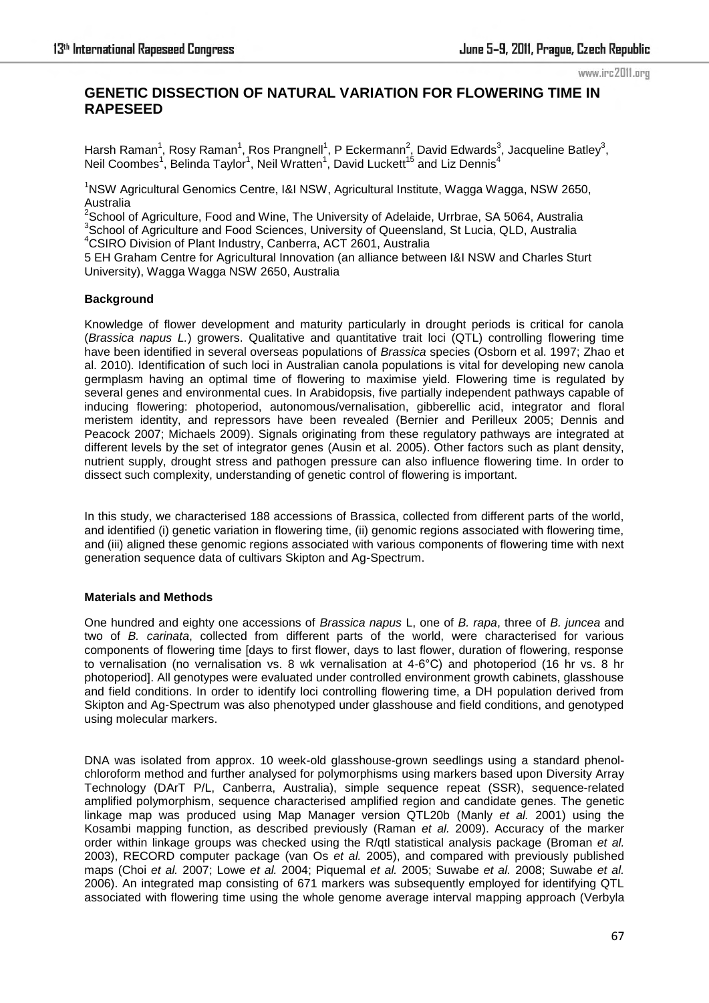# **GENETIC DISSECTION OF NATURAL VARIATION FOR FLOWERING TIME IN RAPESEED**

Harsh Raman<sup>1</sup>, Rosy Raman<sup>1</sup>, Ros Prangnell<sup>1</sup>, P Eckermann<sup>2</sup>, David Edwards<sup>3</sup>, Jacqueline Batley<sup>3</sup>, Neil Coombes<sup>1</sup>, Belinda Taylor<sup>1</sup>, Neil Wratten<sup>1</sup>, David Luckett<sup>15</sup> and Liz Dennis<sup>4</sup>

<sup>1</sup>NSW Agricultural Genomics Centre, I&I NSW, Agricultural Institute, Wagga Wagga, NSW 2650, Australia

 $2$ School of Agriculture, Food and Wine, The University of Adelaide, Urrbrae, SA 5064, Australia <sup>3</sup>School of Agriculture and Food Sciences, University of Queensland, St Lucia, QLD, Australia

<sup>4</sup>CSIRO Division of Plant Industry, Canberra, ACT 2601, Australia

5 EH Graham Centre for Agricultural Innovation (an alliance between I&I NSW and Charles Sturt University), Wagga Wagga NSW 2650, Australia

## **Background**

Knowledge of flower development and maturity particularly in drought periods is critical for canola (*Brassica napus L.*) growers. Qualitative and quantitative trait loci (QTL) controlling flowering time have been identified in several overseas populations of *Brassica* species (Osborn et al. 1997; Zhao et al. 2010)*.* Identification of such loci in Australian canola populations is vital for developing new canola germplasm having an optimal time of flowering to maximise yield. Flowering time is regulated by several genes and environmental cues. In Arabidopsis, five partially independent pathways capable of inducing flowering: photoperiod, autonomous/vernalisation, gibberellic acid, integrator and floral meristem identity, and repressors have been revealed (Bernier and Perilleux 2005; Dennis and Peacock 2007; Michaels 2009). Signals originating from these regulatory pathways are integrated at different levels by the set of integrator genes (Ausin et al. 2005). Other factors such as plant density, nutrient supply, drought stress and pathogen pressure can also influence flowering time. In order to dissect such complexity, understanding of genetic control of flowering is important.

In this study, we characterised 188 accessions of Brassica, collected from different parts of the world, and identified (i) genetic variation in flowering time, (ii) genomic regions associated with flowering time, and (iii) aligned these genomic regions associated with various components of flowering time with next generation sequence data of cultivars Skipton and Ag-Spectrum.

### **Materials and Methods**

One hundred and eighty one accessions of *Brassica napus* L, one of *B. rapa*, three of *B. juncea* and two of *B. carinata*, collected from different parts of the world, were characterised for various components of flowering time [days to first flower, days to last flower, duration of flowering, response to vernalisation (no vernalisation vs. 8 wk vernalisation at 4-6°C) and photoperiod (16 hr vs. 8 hr photoperiod]. All genotypes were evaluated under controlled environment growth cabinets, glasshouse and field conditions. In order to identify loci controlling flowering time, a DH population derived from Skipton and Ag-Spectrum was also phenotyped under glasshouse and field conditions, and genotyped using molecular markers.

DNA was isolated from approx. 10 week-old glasshouse-grown seedlings using a standard phenolchloroform method and further analysed for polymorphisms using markers based upon Diversity Array Technology (DArT P/L, Canberra, Australia), simple sequence repeat (SSR), [sequence-related](http://www.ndsu.edu/pubweb/~mcclean/plsc731/homework/papers/li%20and%20quiros%20-%20sequence-related%20amplified%20polymorphism%20(SRAP),%20a%20new%20marker%20system%20based%20on%20a%20simple%20PCR%20reaction%20-%20its%20application%20to%20mapping%20and%20gene%20tagging%20in%20Brassica.pdf)  [amplified polymorphism,](http://www.ndsu.edu/pubweb/~mcclean/plsc731/homework/papers/li%20and%20quiros%20-%20sequence-related%20amplified%20polymorphism%20(SRAP),%20a%20new%20marker%20system%20based%20on%20a%20simple%20PCR%20reaction%20-%20its%20application%20to%20mapping%20and%20gene%20tagging%20in%20Brassica.pdf) sequence characterised amplified region and candidate genes. The genetic linkage map was produced using Map Manager version QTL20b (Manly *et al.* 2001) using the Kosambi mapping function, as described previously (Raman *et al.* 2009). Accuracy of the marker order within linkage groups was checked using the R/qtl statistical analysis package (Broman *et al.* 2003), RECORD computer package (van Os *et al.* 2005), and compared with previously published maps (Choi *et al.* 2007; Lowe *et al.* 2004; Piquemal *et al.* 2005; Suwabe *et al.* 2008; Suwabe *et al.* 2006). An integrated map consisting of 671 markers was subsequently employed for identifying QTL associated with flowering time using the whole genome average interval mapping approach (Verbyla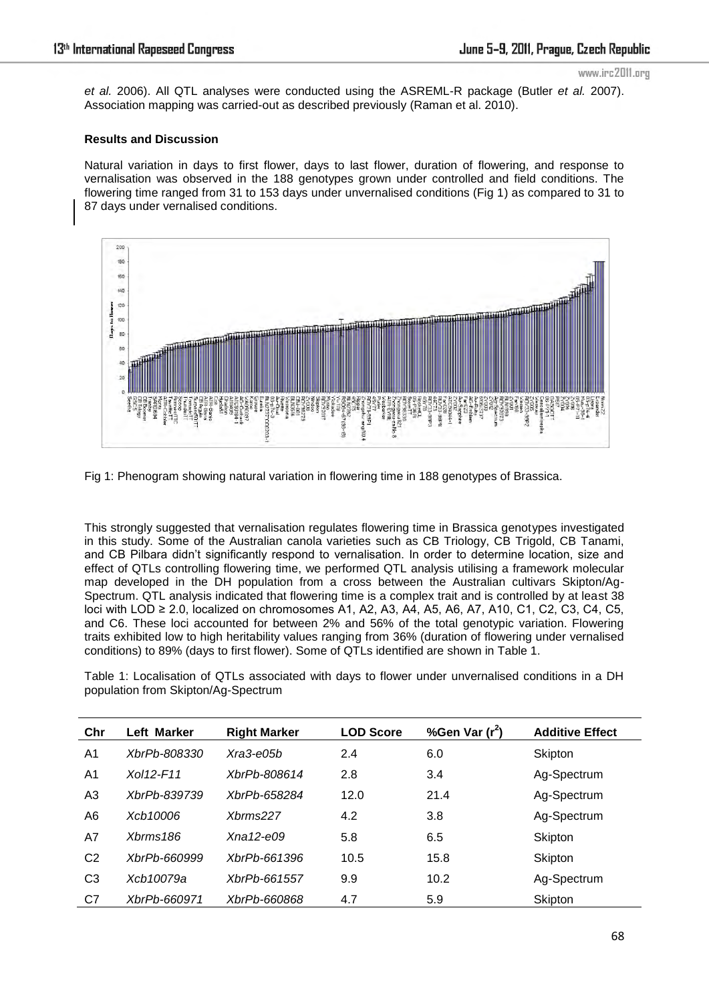*et al.* 2006). All QTL analyses were conducted using the ASREML-R package (Butler *et al.* 2007). Association mapping was carried-out as described previously (Raman et al. 2010).

### **Results and Discussion**

Natural variation in days to first flower, days to last flower, duration of flowering, and response to vernalisation was observed in the 188 genotypes grown under controlled and field conditions. The flowering time ranged from 31 to 153 days under unvernalised conditions (Fig 1) as compared to 31 to 87 days under vernalised conditions.



Fig 1: Phenogram showing natural variation in flowering time in 188 genotypes of Brassica.

This strongly suggested that vernalisation regulates flowering time in Brassica genotypes investigated in this study. Some of the Australian canola varieties such as CB Triology, CB Trigold, CB Tanami, and CB Pilbara didn"t significantly respond to vernalisation. In order to determine location, size and effect of QTLs controlling flowering time, we performed QTL analysis utilising a framework molecular map developed in the DH population from a cross between the Australian cultivars Skipton/Ag-Spectrum. QTL analysis indicated that flowering time is a complex trait and is controlled by at least 38 loci with LOD ≥ 2.0, localized on chromosomes A1, A2, A3, A4, A5, A6, A7, A10, C1, C2, C3, C4, C5, and C6. These loci accounted for between 2% and 56% of the total genotypic variation. Flowering traits exhibited low to high heritability values ranging from 36% (duration of flowering under vernalised conditions) to 89% (days to first flower). Some of QTLs identified are shown in Table 1.

Table 1: Localisation of QTLs associated with days to flower under unvernalised conditions in a DH population from Skipton/Ag-Spectrum

| Chr            | Left Marker         | <b>Right Marker</b> | <b>LOD Score</b> | %Gen Var (r <sup>2</sup> ) | <b>Additive Effect</b> |
|----------------|---------------------|---------------------|------------------|----------------------------|------------------------|
| A1             | XbrPb-808330        | Xra3-e05b           | 2.4              | 6.0                        | Skipton                |
| A1             | Xol12-F11           | XbrPb-808614        | 2.8              | 3.4                        | Ag-Spectrum            |
| A <sub>3</sub> | <i>XbrPb-839739</i> | XbrPb-658284        | 12.0             | 21.4                       | Ag-Spectrum            |
| A6             | Xcb10006            | Xbrms227            | 4.2              | 3.8                        | Ag-Spectrum            |
| A7             | $X \text{hrms} 186$ | $X$ na 12-e $0.9$   | 5.8              | 6.5                        | Skipton                |
| C <sub>2</sub> | XbrPb-660999        | XbrPb-661396        | 10.5             | 15.8                       | Skipton                |
| C <sub>3</sub> | Xcb10079a           | XbrPb-661557        | 9.9              | 10.2                       | Ag-Spectrum            |
| C7             | XbrPb-660971        | XbrPb-660868        | 4.7              | 5.9                        | Skipton                |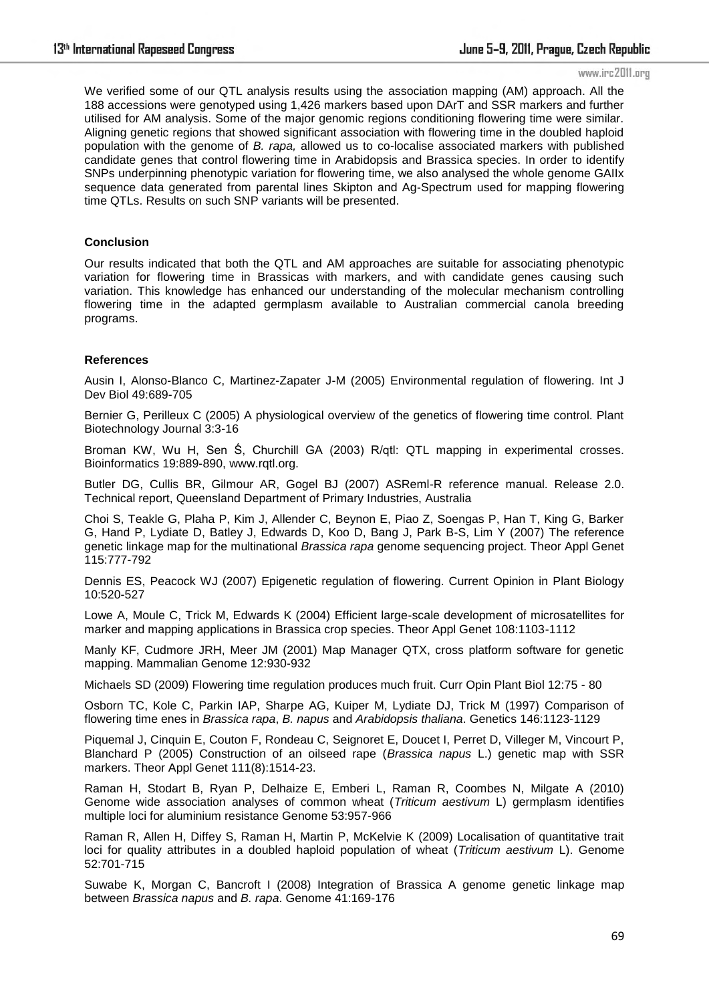We verified some of our QTL analysis results using the association mapping (AM) approach. All the 188 accessions were genotyped using 1,426 markers based upon DArT and SSR markers and further utilised for AM analysis. Some of the major genomic regions conditioning flowering time were similar. Aligning genetic regions that showed significant association with flowering time in the doubled haploid population with the genome of *B. rapa,* allowed us to co-localise associated markers with published candidate genes that control flowering time in Arabidopsis and Brassica species. In order to identify SNPs underpinning phenotypic variation for flowering time, we also analysed the whole genome GAIIx sequence data generated from parental lines Skipton and Ag-Spectrum used for mapping flowering time QTLs. Results on such SNP variants will be presented.

# **Conclusion**

Our results indicated that both the QTL and AM approaches are suitable for associating phenotypic variation for flowering time in Brassicas with markers, and with candidate genes causing such variation. This knowledge has enhanced our understanding of the molecular mechanism controlling flowering time in the adapted germplasm available to Australian commercial canola breeding programs.

### **References**

Ausin I, Alonso-Blanco C, Martinez-Zapater J-M (2005) Environmental regulation of flowering. Int J Dev Biol 49:689-705

Bernier G, Perilleux C (2005) A physiological overview of the genetics of flowering time control. Plant Biotechnology Journal 3:3-16

Broman KW, Wu H, Sen Ś, Churchill GA (2003) R/qtl: QTL mapping in experimental crosses. Bioinformatics 19:889-890, www.rqtl.org.

Butler DG, Cullis BR, Gilmour AR, Gogel BJ (2007) ASReml-R reference manual. Release 2.0. Technical report, Queensland Department of Primary Industries, Australia

Choi S, Teakle G, Plaha P, Kim J, Allender C, Beynon E, Piao Z, Soengas P, Han T, King G, Barker G, Hand P, Lydiate D, Batley J, Edwards D, Koo D, Bang J, Park B-S, Lim Y (2007) The reference genetic linkage map for the multinational *Brassica rapa* genome sequencing project. Theor Appl Genet 115:777-792

Dennis ES, Peacock WJ (2007) Epigenetic regulation of flowering. Current Opinion in Plant Biology 10:520-527

Lowe A, Moule C, Trick M, Edwards K (2004) Efficient large-scale development of microsatellites for marker and mapping applications in Brassica crop species. Theor Appl Genet 108:1103-1112

Manly KF, Cudmore JRH, Meer JM (2001) Map Manager QTX, cross platform software for genetic mapping. Mammalian Genome 12:930-932

Michaels SD (2009) Flowering time regulation produces much fruit. Curr Opin Plant Biol 12:75 - 80

Osborn TC, Kole C, Parkin IAP, Sharpe AG, Kuiper M, Lydiate DJ, Trick M (1997) Comparison of flowering time enes in *Brassica rapa*, *B. napus* and *Arabidopsis thaliana*. Genetics 146:1123-1129

Piquemal J, Cinquin E, Couton F, Rondeau C, Seignoret E, Doucet I, Perret D, Villeger M, Vincourt P, Blanchard P (2005) Construction of an oilseed rape (*Brassica napus* L.) genetic map with SSR markers. Theor Appl Genet 111(8):1514-23.

Raman H, Stodart B, Ryan P, Delhaize E, Emberi L, Raman R, Coombes N, Milgate A (2010) Genome wide association analyses of common wheat (*Triticum aestivum* L) germplasm identifies multiple loci for aluminium resistance Genome 53:957-966

Raman R, Allen H, Diffey S, Raman H, Martin P, McKelvie K (2009) Localisation of quantitative trait loci for quality attributes in a doubled haploid population of wheat (*Triticum aestivum* L). Genome 52:701-715

Suwabe K, Morgan C, Bancroft I (2008) Integration of Brassica A genome genetic linkage map between *Brassica napus* and *B. rapa*. Genome 41:169-176